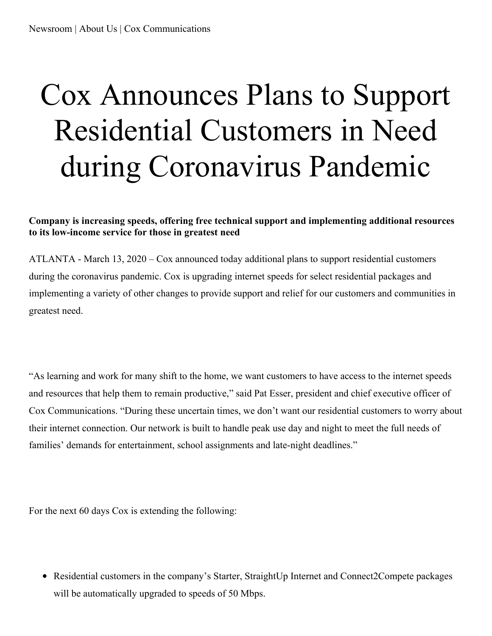## Cox Announces Plans to Support Residential Customers in Need during Coronavirus Pandemic

## **Company is increasing speeds, offering free technical support and implementing additional resources to its low-income service for those in greatest need**

ATLANTA - March 13, 2020 – Cox announced today additional plans to support residential customers during the coronavirus pandemic. Cox is upgrading internet speeds for select residential packages and implementing a variety of other changes to provide support and relief for our customers and communities in greatest need.

"As learning and work for many shift to the home, we want customers to have access to the internet speeds and resources that help them to remain productive," said Pat Esser, president and chief executive officer of Cox Communications. "During these uncertain times, we don't want our residential customers to worry about their internet connection. Our network is built to handle peak use day and night to meet the full needs of families' demands for entertainment, school assignments and late-night deadlines."

For the next 60 days Cox is extending the following:

• Residential customers in the company's Starter, StraightUp Internet and Connect2Compete packages will be automatically upgraded to speeds of 50 Mbps.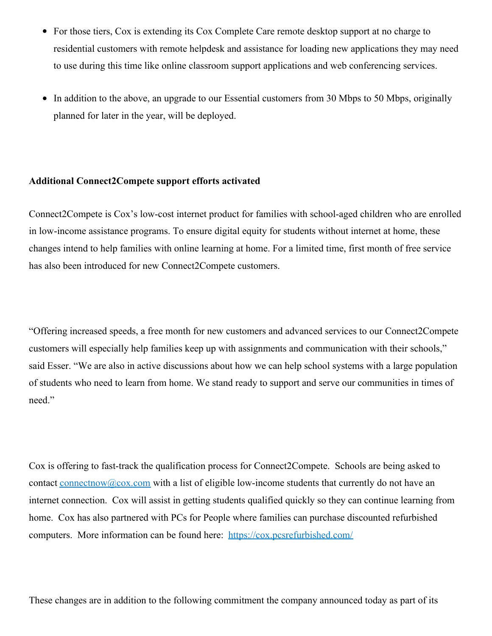- For those tiers, Cox is extending its Cox Complete Care remote desktop support at no charge to residential customers with remote helpdesk and assistance for loading new applications they may need to use during this time like online classroom support applications and web conferencing services.
- In addition to the above, an upgrade to our Essential customers from 30 Mbps to 50 Mbps, originally planned for later in the year, will be deployed.

## **Additional Connect2Compete support efforts activated**

Connect2Compete is Cox's low-cost internet product for families with school-aged children who are enrolled in low-income assistance programs. To ensure digital equity for students without internet at home, these changes intend to help families with online learning at home. For a limited time, first month of free service has also been introduced for new Connect2Compete customers.

"Offering increased speeds, a free month for new customers and advanced services to our Connect2Compete customers will especially help families keep up with assignments and communication with their schools," said Esser. "We are also in active discussions about how we can help school systems with a large population of students who need to learn from home. We stand ready to support and serve our communities in times of need."

Cox is offering to fast-track the qualification process for Connect2Compete. Schools are being asked to contact connectnow@cox.com with a list of eligible low-income students that currently do not have an internet connection. Cox will assist in getting students qualified quickly so they can continue learning from home. Cox has also partnered with PCs for People where families can purchase discounted refurbished computers. More information can be found here: <https://cox.pcsrefurbished.com/>